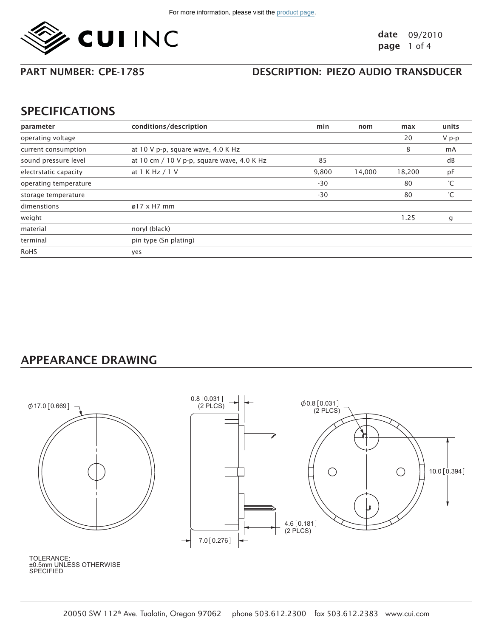

PART NUMBER: CPE-1785

### DESCRIPTION: PIEZO AUDIO TRANSDUCER

## SPECIFICATIONS

| parameter             | conditions/description                     | min   | nom    | max    | units |
|-----------------------|--------------------------------------------|-------|--------|--------|-------|
| operating voltage     |                                            |       |        | 20     | V p-p |
| current consumption   | at 10 V p-p, square wave, 4.0 K Hz         |       |        | 8      | mA    |
| sound pressure level  | at 10 cm / 10 V p-p, square wave, 4.0 K Hz | 85    |        |        | dB    |
| electrstatic capacity | at 1 K Hz / 1 V                            | 9,800 | 14,000 | 18,200 | pF    |
| operating temperature |                                            | $-30$ |        | 80     | °С    |
| storage temperature   |                                            | $-30$ |        | 80     | °С    |
| dimenstions           | $\varnothing$ 17 x H7 mm                   |       |        |        |       |
| weight                |                                            |       |        | 1.25   | g     |
| material              | noryl (black)                              |       |        |        |       |
| terminal              | pin type (Sn plating)                      |       |        |        |       |
| RoHS                  | yes                                        |       |        |        |       |

## APPEARANCE DRAWING



±0.5mm UNLESS OTHERWISE **SPECIFIED** TOLERANCE: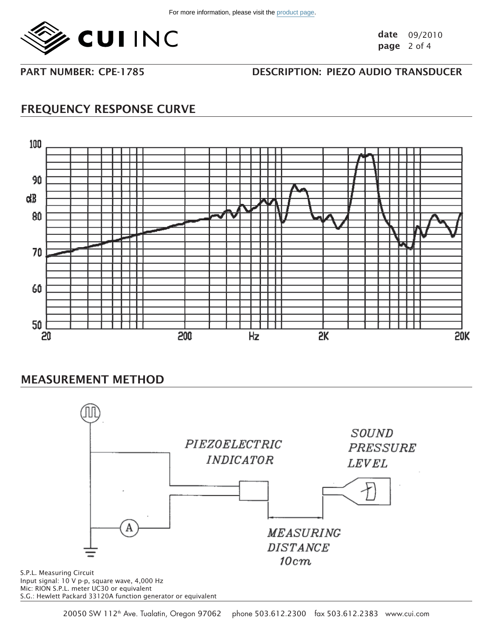

date 09/2010 page 2 of 4

PART NUMBER: CPF-1785

## DESCRIPTION: PIEZO AUDIO TRANSDUCER

# FREQUENCY RESPONSE CURVE



## MEASUREMENT METHOD



Input signal: 10 V p-p, square wave, 4,000 Hz Mic: RION S.P.L. meter UC30 or equivalent S.G.: Hewlett Packard 33120A function generator or equivalent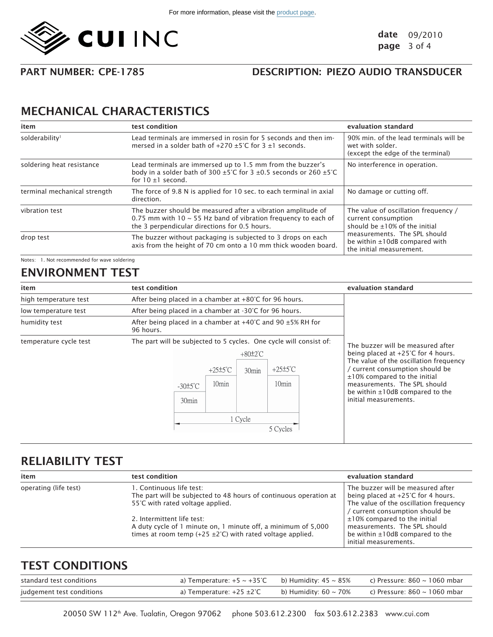

PART NUMBER: CPF-1785

### DESCRIPTION: PIEZO AUDIO TRANSDUCER

# MECHANICAL CHARACTERISTICS

| item                         | test condition                                                                                                                                                                       | evaluation standard                                                                                                                                                                       |  |
|------------------------------|--------------------------------------------------------------------------------------------------------------------------------------------------------------------------------------|-------------------------------------------------------------------------------------------------------------------------------------------------------------------------------------------|--|
| solderability <sup>1</sup>   | Lead terminals are immersed in rosin for 5 seconds and then im-<br>mersed in a solder bath of $+270 \pm 5^{\circ}$ C for 3 $\pm$ 1 seconds.                                          | 90% min. of the lead terminals will be<br>wet with solder.<br>(except the edge of the terminal)                                                                                           |  |
| soldering heat resistance    | Lead terminals are immersed up to 1.5 mm from the buzzer's<br>body in a solder bath of 300 $\pm$ 5°C for 3 $\pm$ 0.5 seconds or 260 $\pm$ 5°C<br>for $10 \pm 1$ second.              | No interference in operation.                                                                                                                                                             |  |
| terminal mechanical strength | The force of 9.8 N is applied for 10 sec. to each terminal in axial<br>direction.                                                                                                    | No damage or cutting off.                                                                                                                                                                 |  |
| vibration test               | The buzzer should be measured after a vibration amplitude of<br>0.75 mm with 10 $\sim$ 55 Hz band of vibration frequency to each of<br>the 3 perpendicular directions for 0.5 hours. | The value of oscillation frequency /<br>current consumption<br>should be ±10% of the initial<br>measurements. The SPL should<br>be within ±10dB compared with<br>the initial measurement. |  |
| drop test                    | The buzzer without packaging is subjected to 3 drops on each<br>axis from the height of 70 cm onto a 10 mm thick wooden board.                                                       |                                                                                                                                                                                           |  |

Notes: 1. Not recommended for wave soldering

## ENVIRONMENT TEST

| item                   | test condition                                                                                                                                                                                                                                                  | evaluation standard                                                                                                                                                                                                                                                                    |
|------------------------|-----------------------------------------------------------------------------------------------------------------------------------------------------------------------------------------------------------------------------------------------------------------|----------------------------------------------------------------------------------------------------------------------------------------------------------------------------------------------------------------------------------------------------------------------------------------|
| high temperature test  | After being placed in a chamber at +80°C for 96 hours.                                                                                                                                                                                                          |                                                                                                                                                                                                                                                                                        |
| low temperature test   | After being placed in a chamber at -30°C for 96 hours.                                                                                                                                                                                                          |                                                                                                                                                                                                                                                                                        |
| humidity test          | After being placed in a chamber at $+40^{\circ}$ C and 90 $\pm$ 5% RH for<br>96 hours.                                                                                                                                                                          |                                                                                                                                                                                                                                                                                        |
| temperature cycle test | The part will be subjected to 5 cycles. One cycle will consist of:<br>$+80±2^{\circ}C$<br>$+25±5^{\circ}C$<br>$+25±5^{\circ}$ C<br>30 <sub>min</sub><br>10 <sub>min</sub><br>10 <sub>min</sub><br>$-30±5^{\circ}$ C<br>30 <sub>min</sub><br>1 Cycle<br>5 Cycles | The buzzer will be measured after<br>being placed at +25°C for 4 hours.<br>The value of the oscillation frequency<br>/ current consumption should be<br>±10% compared to the initial<br>measurements. The SPL should<br>be within $\pm 10$ dB compared to the<br>initial measurements. |

## RELIABILITY TEST

| item                  | test condition                                                                                                                                                | evaluation standard                                                                                                                                          |
|-----------------------|---------------------------------------------------------------------------------------------------------------------------------------------------------------|--------------------------------------------------------------------------------------------------------------------------------------------------------------|
| operating (life test) | 1. Continuous life test:<br>The part will be subjected to 48 hours of continuous operation at<br>55°C with rated voltage applied.                             | The buzzer will be measured after<br>being placed at $+25^{\circ}$ C for 4 hours.<br>The value of the oscillation frequency<br>current consumption should be |
|                       | 2. Intermittent life test:<br>A duty cycle of 1 minute on, 1 minute off, a minimum of 5,000<br>times at room temp (+25 $\pm$ 2°C) with rated voltage applied. | $\pm$ 10% compared to the initial<br>measurements. The SPL should<br>be within $\pm 10$ dB compared to the<br>initial measurements.                          |

## TEST CONDITIONS

| standard test conditions  | a) Temperature: $+5 \sim +35^{\circ}$ C b) Humidity: 45 $\sim 85\%$ |                       | c) Pressure: 860 ~ 1060 mbar |
|---------------------------|---------------------------------------------------------------------|-----------------------|------------------------------|
| judgement test conditions | a) Temperature: +25 ±2°C                                            | b) Humidity: 60 ~ 70% | c) Pressure: 860 ~ 1060 mbar |